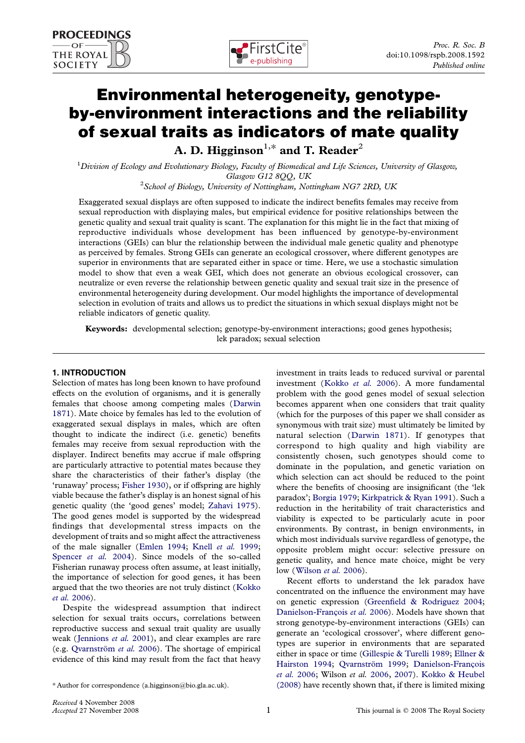

# Environmental heterogeneity, genotypeby-environment interactions and the reliability of sexual traits as indicators of mate quality

A. D. Higginson<sup>1,\*</sup> and T. Reader<sup>2</sup>

 $^1$ Division of Ecology and Evolutionary Biology, Faculty of Biomedical and Life Sciences, University of Glasgow, Glasgow G12 8QQ, UK<br><sup>2</sup>School of Biology, University of Nottingham, Nottingham NG7 2RD, UK

Exaggerated sexual displays are often supposed to indicate the indirect benefits females may receive from sexual reproduction with displaying males, but empirical evidence for positive relationships between the genetic quality and sexual trait quality is scant. The explanation for this might lie in the fact that mixing of reproductive individuals whose development has been influenced by genotype-by-environment interactions (GEIs) can blur the relationship between the individual male genetic quality and phenotype as perceived by females. Strong GEIs can generate an ecological crossover, where different genotypes are superior in environments that are separated either in space or time. Here, we use a stochastic simulation model to show that even a weak GEI, which does not generate an obvious ecological crossover, can neutralize or even reverse the relationship between genetic quality and sexual trait size in the presence of environmental heterogeneity during development. Our model highlights the importance of developmental selection in evolution of traits and allows us to predict the situations in which sexual displays might not be reliable indicators of genetic quality.

Keywords: developmental selection; genotype-by-environment interactions; good genes hypothesis; lek paradox; sexual selection

# 1. INTRODUCTION

Selection of mates has long been known to have profound effects on the evolution of organisms, and it is generally females that choose among competing males ([Darwin](#page-6-0) [1871](#page-6-0)). Mate choice by females has led to the evolution of exaggerated sexual displays in males, which are often thought to indicate the indirect (i.e. genetic) benefits females may receive from sexual reproduction with the displayer. Indirect benefits may accrue if male offspring are particularly attractive to potential mates because they share the characteristics of their father's display (the 'runaway' process; [Fisher 1930\)](#page-6-0), or if offspring are highly viable because the father's display is an honest signal of his genetic quality (the 'good genes' model; [Zahavi 1975\)](#page-6-0). The good genes model is supported by the widespread findings that developmental stress impacts on the development of traits and so might affect the attractiveness of the male signaller ([Emlen 1994;](#page-6-0) [Knell](#page-6-0) et al. 1999; [Spencer](#page-6-0) et al. 2004). Since models of the so-called Fisherian runaway process often assume, at least initially, the importance of selection for good genes, it has been argued that the two theories are not truly distinct ([Kokko](#page-6-0) et al. [2006](#page-6-0)).

Despite the widespread assumption that indirect selection for sexual traits occurs, correlations between reproductive success and sexual trait quality are usually weak ([Jennions](#page-6-0) et al. 2001), and clear examples are rare (e.g. Ovarnström et al. 2006). The shortage of empirical evidence of this kind may result from the fact that heavy

investment in traits leads to reduced survival or parental investment ([Kokko](#page-6-0) et al. 2006). A more fundamental problem with the good genes model of sexual selection becomes apparent when one considers that trait quality (which for the purposes of this paper we shall consider as synonymous with trait size) must ultimately be limited by natural selection ([Darwin 1871](#page-6-0)). If genotypes that correspond to high quality and high viability are consistently chosen, such genotypes should come to dominate in the population, and genetic variation on which selection can act should be reduced to the point where the benefits of choosing are insignificant (the 'lek paradox'; [Borgia 1979;](#page-6-0) [Kirkpatrick & Ryan 1991](#page-6-0)). Such a reduction in the heritability of trait characteristics and viability is expected to be particularly acute in poor environments. By contrast, in benign environments, in which most individuals survive regardless of genotype, the opposite problem might occur: selective pressure on genetic quality, and hence mate choice, might be very low ([Wilson](#page-6-0) et al. 2006).

Recent efforts to understand the lek paradox have concentrated on the influence the environment may have on genetic expression [\(Greenfield & Rodriguez 2004;](#page-6-0) Danielson-François et al. 2006). Models have shown that strong genotype-by-environment interactions (GEIs) can generate an 'ecological crossover', where different genotypes are superior in environments that are separated either in space or time ([Gillespie & Turelli 1989;](#page-6-0) [Ellner &](#page-6-0) [Hairston 1994](#page-6-0); Ovarnström 1999; Danielson-François et al. [2006;](#page-6-0) Wilson et al. [2006,](#page-6-0) [2007\)](#page-6-0). [Kokko & Heubel](#page-6-0) [\(2008\)](#page-6-0) have recently shown that, if there is limited mixing

<sup>\*</sup> Author for correspondence (a.higginson@bio.gla.ac.uk).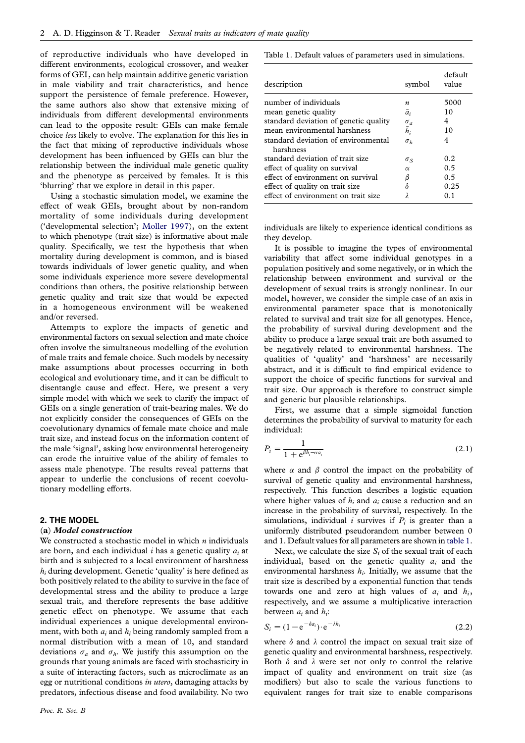<span id="page-1-0"></span>of reproductive individuals who have developed in different environments, ecological crossover, and weaker forms of GEI, can help maintain additive genetic variation in male viability and trait characteristics, and hence support the persistence of female preference. However, the same authors also show that extensive mixing of individuals from different developmental environments can lead to the opposite result: GEIs can make female choice less likely to evolve. The explanation for this lies in the fact that mixing of reproductive individuals whose development has been influenced by GEIs can blur the relationship between the individual male genetic quality and the phenotype as perceived by females. It is this 'blurring' that we explore in detail in this paper.

Using a stochastic simulation model, we examine the effect of weak GEIs, brought about by non-random mortality of some individuals during development ('developmental selection'; [Moller 1997](#page-6-0)), on the extent to which phenotype (trait size) is informative about male quality. Specifically, we test the hypothesis that when mortality during development is common, and is biased towards individuals of lower genetic quality, and when some individuals experience more severe developmental conditions than others, the positive relationship between genetic quality and trait size that would be expected in a homogeneous environment will be weakened and/or reversed.

Attempts to explore the impacts of genetic and environmental factors on sexual selection and mate choice often involve the simultaneous modelling of the evolution of male traits and female choice. Such models by necessity make assumptions about processes occurring in both ecological and evolutionary time, and it can be difficult to disentangle cause and effect. Here, we present a very simple model with which we seek to clarify the impact of GEIs on a single generation of trait-bearing males. We do not explicitly consider the consequences of GEIs on the coevolutionary dynamics of female mate choice and male trait size, and instead focus on the information content of the male 'signal', asking how environmental heterogeneity can erode the intuitive value of the ability of females to assess male phenotype. The results reveal patterns that appear to underlie the conclusions of recent coevolutionary modelling efforts.

### 2. THE MODEL

#### (a) Model construction

We constructed a stochastic model in which  $n$  individuals are born, and each individual  $i$  has a genetic quality  $a_i$  at birth and is subjected to a local environment of harshness  $h_i$  during development. Genetic 'quality' is here defined as both positively related to the ability to survive in the face of developmental stress and the ability to produce a large sexual trait, and therefore represents the base additive genetic effect on phenotype. We assume that each individual experiences a unique developmental environment, with both  $a_i$  and  $h_i$  being randomly sampled from a normal distribution with a mean of 10, and standard deviations  $\sigma_a$  and  $\sigma_h$ . We justify this assumption on the grounds that young animals are faced with stochasticity in a suite of interacting factors, such as microclimate as an egg or nutritional conditions in utero, damaging attacks by predators, infectious disease and food availability. No two

Table 1. Default values of parameters used in simulations.

| description                                      | symbol       | default<br>value |
|--------------------------------------------------|--------------|------------------|
| number of individuals                            | n            | 5000             |
| mean genetic quality                             | ā,           | 10               |
| standard deviation of genetic quality            | $\sigma_a$   | 4                |
| mean environmental harshness                     | $\bar{h}_i$  | 10               |
| standard deviation of environmental<br>harshness | $\sigma_h$   | 4                |
| standard deviation of trait size                 | $\sigma_{S}$ | 0.2              |
| effect of quality on survival                    | $\alpha$     | 0.5              |
| effect of environment on survival                | β            | 0.5              |
| effect of quality on trait size                  | δ            | 0.25             |
| effect of environment on trait size              |              | 0.1              |

individuals are likely to experience identical conditions as they develop.

It is possible to imagine the types of environmental variability that affect some individual genotypes in a population positively and some negatively, or in which the relationship between environment and survival or the development of sexual traits is strongly nonlinear. In our model, however, we consider the simple case of an axis in environmental parameter space that is monotonically related to survival and trait size for all genotypes. Hence, the probability of survival during development and the ability to produce a large sexual trait are both assumed to be negatively related to environmental harshness. The qualities of 'quality' and 'harshness' are necessarily abstract, and it is difficult to find empirical evidence to support the choice of specific functions for survival and trait size. Our approach is therefore to construct simple and generic but plausible relationships.

First, we assume that a simple sigmoidal function determines the probability of survival to maturity for each individual:

$$
P_i = \frac{1}{1 + e^{\beta h_i - \alpha a_i}}\tag{2.1}
$$

where  $\alpha$  and  $\beta$  control the impact on the probability of survival of genetic quality and environmental harshness, respectively. This function describes a logistic equation where higher values of  $h_i$  and  $a_i$  cause a reduction and an increase in the probability of survival, respectively. In the simulations, individual *i* survives if  $P_i$  is greater than a uniformly distributed pseudorandom number between 0 and 1. Default values for all parameters are shown in table 1.

Next, we calculate the size  $S_i$  of the sexual trait of each individual, based on the genetic quality  $a_i$  and the environmental harshness  $h_i$ . Initially, we assume that the trait size is described by a exponential function that tends towards one and zero at high values of  $a_i$  and  $h_i$ , respectively, and we assume a multiplicative interaction between  $a_i$  and  $h_i$ :

$$
S_i = (1 - e^{-\delta a_i}) \cdot e^{-\lambda h_i} \tag{2.2}
$$

where  $\delta$  and  $\lambda$  control the impact on sexual trait size of genetic quality and environmental harshness, respectively. Both  $\delta$  and  $\lambda$  were set not only to control the relative impact of quality and environment on trait size (as modifiers) but also to scale the various functions to equivalent ranges for trait size to enable comparisons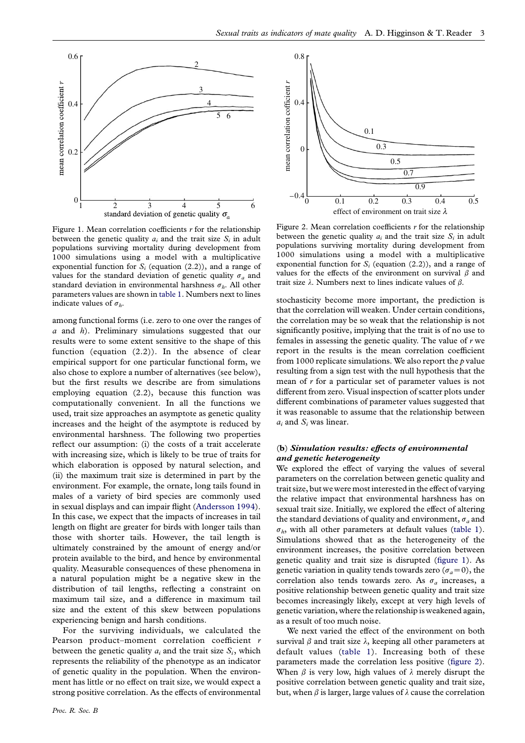

Figure 1. Mean correlation coefficients  $r$  for the relationship between the genetic quality  $a_i$  and the trait size  $S_i$  in adult populations surviving mortality during development from 1000 simulations using a model with a multiplicative exponential function for  $S_i$  (equation (2.2)), and a range of values for the standard deviation of genetic quality  $\sigma_a$  and standard deviation in environmental harshness  $\sigma_h$ . All other parameters values are shown in [table 1](#page-1-0). Numbers next to lines indicate values of  $\sigma_h$ .

among functional forms (i.e. zero to one over the ranges of  $a$  and  $h$ ). Preliminary simulations suggested that our results were to some extent sensitive to the shape of this function (equation (2.2)). In the absence of clear empirical support for one particular functional form, we also chose to explore a number of alternatives (see below), but the first results we describe are from simulations employing equation (2.2), because this function was computationally convenient. In all the functions we used, trait size approaches an asymptote as genetic quality increases and the height of the asymptote is reduced by environmental harshness. The following two properties reflect our assumption: (i) the costs of a trait accelerate with increasing size, which is likely to be true of traits for which elaboration is opposed by natural selection, and (ii) the maximum trait size is determined in part by the environment. For example, the ornate, long tails found in males of a variety of bird species are commonly used in sexual displays and can impair flight [\(Andersson 1994\)](#page-6-0). In this case, we expect that the impacts of increases in tail length on flight are greater for birds with longer tails than those with shorter tails. However, the tail length is ultimately constrained by the amount of energy and/or protein available to the bird, and hence by environmental quality. Measurable consequences of these phenomena in a natural population might be a negative skew in the distribution of tail lengths, reflecting a constraint on maximum tail size, and a difference in maximum tail size and the extent of this skew between populations experiencing benign and harsh conditions.

For the surviving individuals, we calculated the Pearson product-moment correlation coefficient r between the genetic quality  $a_i$  and the trait size  $S_i$ , which represents the reliability of the phenotype as an indicator of genetic quality in the population. When the environment has little or no effect on trait size, we would expect a strong positive correlation. As the effects of environmental



Figure 2. Mean correlation coefficients  $r$  for the relationship between the genetic quality  $a_i$  and the trait size  $S_i$  in adult populations surviving mortality during development from 1000 simulations using a model with a multiplicative exponential function for  $S_i$  (equation (2.2)), and a range of values for the effects of the environment on survival  $\beta$  and trait size  $\lambda$ . Numbers next to lines indicate values of  $\beta$ .

stochasticity become more important, the prediction is that the correlation will weaken. Under certain conditions, the correlation may be so weak that the relationship is not significantly positive, implying that the trait is of no use to females in assessing the genetic quality. The value of  $r$  we report in the results is the mean correlation coefficient from 1000 replicate simulations. We also report the  $p$  value resulting from a sign test with the null hypothesis that the mean of  $r$  for a particular set of parameter values is not different from zero. Visual inspection of scatter plots under different combinations of parameter values suggested that it was reasonable to assume that the relationship between  $a_i$  and  $S_i$  was linear.

# (b) Simulation results: effects of environmental and genetic heterogeneity

We explored the effect of varying the values of several parameters on the correlation between genetic quality and trait size, but we were most interested in the effect of varying the relative impact that environmental harshness has on sexual trait size. Initially, we explored the effect of altering the standard deviations of quality and environment,  $\sigma_a$  and  $\sigma_h$ , with all other parameters at default values [\(table 1](#page-1-0)). Simulations showed that as the heterogeneity of the environment increases, the positive correlation between genetic quality and trait size is disrupted (figure 1). As genetic variation in quality tends towards zero ( $\sigma_a$ =0), the correlation also tends towards zero. As  $\sigma_a$  increases, a positive relationship between genetic quality and trait size becomes increasingly likely, except at very high levels of genetic variation, where the relationship is weakened again, as a result of too much noise.

We next varied the effect of the environment on both survival  $\beta$  and trait size  $\lambda$ , keeping all other parameters at default values [\(table 1\)](#page-1-0). Increasing both of these parameters made the correlation less positive (figure 2). When  $\beta$  is very low, high values of  $\lambda$  merely disrupt the positive correlation between genetic quality and trait size, but, when  $\beta$  is larger, large values of  $\lambda$  cause the correlation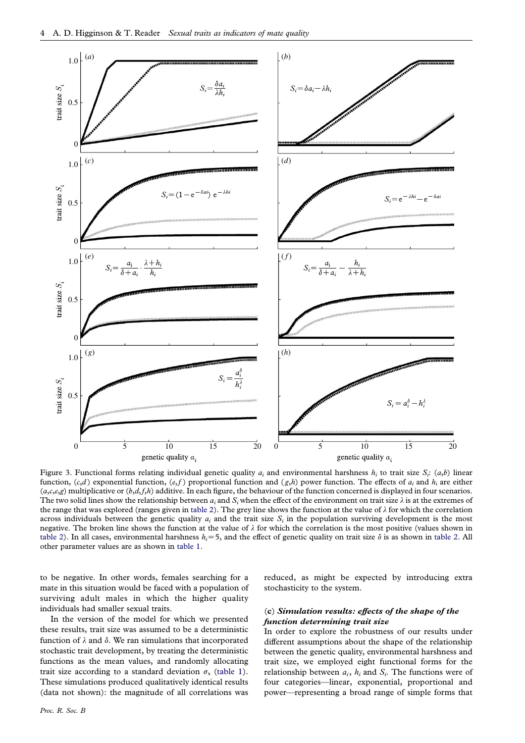<span id="page-3-0"></span>

Figure 3. Functional forms relating individual genetic quality  $a_i$  and environmental harshness  $h_i$  to trait size  $S_i$ : (a,b) linear function,  $(c,d)$  exponential function,  $(e,f)$  proportional function and  $(g,h)$  power function. The effects of  $a_i$  and  $h_i$  are either  $(a,c,e,g)$  multiplicative or  $(b,d,f,h)$  additive. In each figure, the behaviour of the function concerned is displayed in four scenarios. The two solid lines show the relationship between a<sub>i</sub> and S<sub>i</sub> when the effect of the environment on trait size  $\lambda$  is at the extremes of the range that was explored (ranges given in [table 2](#page-4-0)). The grey line shows the function at the value of  $\lambda$  for which the correlation across individuals between the genetic quality  $a_i$  and the trait size  $S_i$  in the population surviving development is the most negative. The broken line shows the function at the value of  $\lambda$  for which the correlation is the most positive (values shown in [table 2\)](#page-4-0). In all cases, environmental harshness  $h_i=5$ , and the effect of genetic quality on trait size  $\delta$  is as shown in [table 2.](#page-4-0) All other parameter values are as shown in [table 1](#page-1-0).

to be negative. In other words, females searching for a mate in this situation would be faced with a population of surviving adult males in which the higher quality individuals had smaller sexual traits.

In the version of the model for which we presented these results, trait size was assumed to be a deterministic function of  $\lambda$  and  $\delta$ . We ran simulations that incorporated stochastic trait development, by treating the deterministic functions as the mean values, and randomly allocating trait size according to a standard deviation  $\sigma_s$  [\(table 1](#page-1-0)). These simulations produced qualitatively identical results (data not shown): the magnitude of all correlations was reduced, as might be expected by introducing extra stochasticity to the system.

## (c) Simulation results: effects of the shape of the function determining trait size

In order to explore the robustness of our results under different assumptions about the shape of the relationship between the genetic quality, environmental harshness and trait size, we employed eight functional forms for the relationship between  $a_i$ ,  $h_i$  and  $S_i$ . The functions were of four categories—linear, exponential, proportional and power—representing a broad range of simple forms that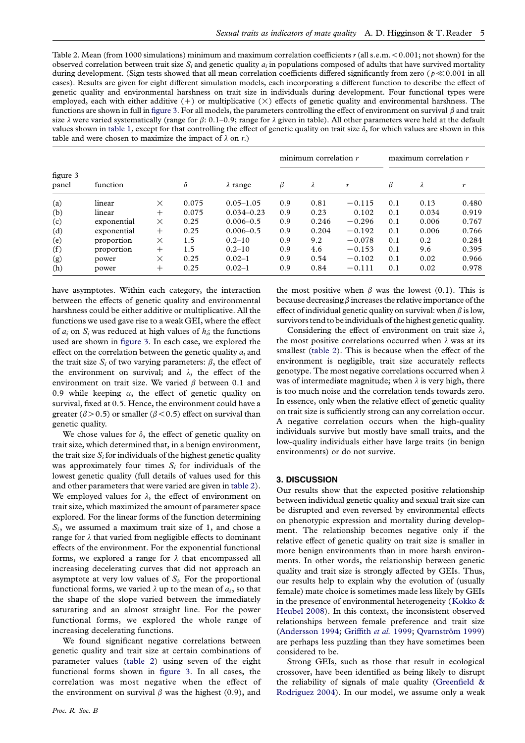<span id="page-4-0"></span>Table 2. Mean (from 1000 simulations) minimum and maximum correlation coefficients  $r$  (all s.e.m.  $< 0.001$ ; not shown) for the observed correlation between trait size  $S_i$  and genetic quality  $a_i$  in populations composed of adults that have survived mortality during development. (Sign tests showed that all mean correlation coefficients differed significantly from zero ( $p \ll 0.001$  in all cases). Results are given for eight different simulation models, each incorporating a different function to describe the effect of genetic quality and environmental harshness on trait size in individuals during development. Four functional types were employed, each with either additive  $(+)$  or multiplicative  $(\times)$  effects of genetic quality and environmental harshness. The functions are shown in full in [figure 3.](#page-3-0) For all models, the parameters controlling the effect of environment on survival  $\beta$  and trait size  $\lambda$  were varied systematically (range for  $\beta$ : 0.1–0.9; range for  $\lambda$  given in table). All other parameters were held at the default values shown in [table 1,](#page-1-0) except for that controlling the effect of genetic quality on trait size  $\delta$ , for which values are shown in this table and were chosen to maximize the impact of  $\lambda$  on r.)

| figure 3<br>panel |             |          | δ     | $\lambda$ range | minimum correlation $r$ |       |          | $maximum$ correlation $r$ |       |       |
|-------------------|-------------|----------|-------|-----------------|-------------------------|-------|----------|---------------------------|-------|-------|
|                   | function    |          |       |                 | β                       | λ     | r        | β                         | Λ     |       |
| (a)               | linear      | $\times$ | 0.075 | $0.05 - 1.05$   | 0.9                     | 0.81  | $-0.115$ | 0.1                       | 0.13  | 0.480 |
| (b)               | linear      | $^{+}$   | 0.075 | $0.034 - 0.23$  | 0.9                     | 0.23  | 0.102    | 0.1                       | 0.034 | 0.919 |
| (c)               | exponential | $\times$ | 0.25  | $0.006 - 0.5$   | 0.9                     | 0.246 | $-0.296$ | 0.1                       | 0.006 | 0.767 |
| (d)               | exponential | $^{+}$   | 0.25  | $0.006 - 0.5$   | 0.9                     | 0.204 | $-0.192$ | 0.1                       | 0.006 | 0.766 |
| (e)               | proportion  | $\times$ | 1.5   | $0.2 - 10$      | 0.9                     | 9.2   | $-0.078$ | 0.1                       | 0.2   | 0.284 |
| (f)               | proportion  | $^{+}$   | 1.5   | $0.2 - 10$      | 0.9                     | 4.6   | $-0.153$ | 0.1                       | 9.6   | 0.395 |
| (g)               | power       | X        | 0.25  | $0.02 - 1$      | 0.9                     | 0.54  | $-0.102$ | 0.1                       | 0.02  | 0.966 |
| (h)               | power       | $^{+}$   | 0.25  | $0.02 - 1$      | 0.9                     | 0.84  | $-0.111$ | 0.1                       | 0.02  | 0.978 |

have asymptotes. Within each category, the interaction between the effects of genetic quality and environmental harshness could be either additive or multiplicative. All the functions we used gave rise to a weak GEI, where the effect of  $a_i$  on  $S_i$  was reduced at high values of  $h_i$ ; the functions used are shown in [figure 3](#page-3-0). In each case, we explored the effect on the correlation between the genetic quality  $a_i$  and the trait size  $S_i$  of two varying parameters:  $\beta$ , the effect of the environment on survival; and  $\lambda$ , the effect of the environment on trait size. We varied  $\beta$  between 0.1 and 0.9 while keeping  $\alpha$ , the effect of genetic quality on survival, fixed at 0.5. Hence, the environment could have a greater ( $\beta$  > 0.5) or smaller ( $\beta$  < 0.5) effect on survival than genetic quality.

We chose values for  $\delta$ , the effect of genetic quality on trait size, which determined that, in a benign environment, the trait size  $S_i$  for individuals of the highest genetic quality was approximately four times  $S_i$  for individuals of the lowest genetic quality (full details of values used for this and other parameters that were varied are given in table 2). We employed values for  $\lambda$ , the effect of environment on trait size, which maximized the amount of parameter space explored. For the linear forms of the function determining  $S_i$ , we assumed a maximum trait size of 1, and chose a range for  $\lambda$  that varied from negligible effects to dominant effects of the environment. For the exponential functional forms, we explored a range for  $\lambda$  that encompassed all increasing decelerating curves that did not approach an asymptote at very low values of  $S_i$ . For the proportional functional forms, we varied  $\lambda$  up to the mean of  $a_i$ , so that the shape of the slope varied between the immediately saturating and an almost straight line. For the power functional forms, we explored the whole range of increasing decelerating functions.

We found significant negative correlations between genetic quality and trait size at certain combinations of parameter values (table 2) using seven of the eight functional forms shown in [figure 3](#page-3-0). In all cases, the correlation was most negative when the effect of the environment on survival  $\beta$  was the highest (0.9), and

the most positive when  $\beta$  was the lowest (0.1). This is because decreasing  $\beta$  increases the relative importance of the effect of individual genetic quality on survival: when  $\beta$  is low, survivors tend to be individuals of the highest genetic quality.

Considering the effect of environment on trait size  $\lambda$ , the most positive correlations occurred when  $\lambda$  was at its smallest (table 2). This is because when the effect of the environment is negligible, trait size accurately reflects genotype. The most negative correlations occurred when  $\lambda$ was of intermediate magnitude; when  $\lambda$  is very high, there is too much noise and the correlation tends towards zero. In essence, only when the relative effect of genetic quality on trait size is sufficiently strong can any correlation occur. A negative correlation occurs when the high-quality individuals survive but mostly have small traits, and the low-quality individuals either have large traits (in benign environments) or do not survive.

#### 3. DISCUSSION

Our results show that the expected positive relationship between individual genetic quality and sexual trait size can be disrupted and even reversed by environmental effects on phenotypic expression and mortality during development. The relationship becomes negative only if the relative effect of genetic quality on trait size is smaller in more benign environments than in more harsh environments. In other words, the relationship between genetic quality and trait size is strongly affected by GEIs. Thus, our results help to explain why the evolution of (usually female) mate choice is sometimes made less likely by GEIs in the presence of environmental heterogeneity ([Kokko &](#page-6-0) [Heubel 2008\)](#page-6-0). In this context, the inconsistent observed relationships between female preference and trait size ([Andersson 1994](#page-6-0); [Griffith](#page-6-0) et al. 1999; Ovarnström 1999) are perhaps less puzzling than they have sometimes been considered to be.

Strong GEIs, such as those that result in ecological crossover, have been identified as being likely to disrupt the reliability of signals of male quality ([Greenfield &](#page-6-0) [Rodriguez 2004\)](#page-6-0). In our model, we assume only a weak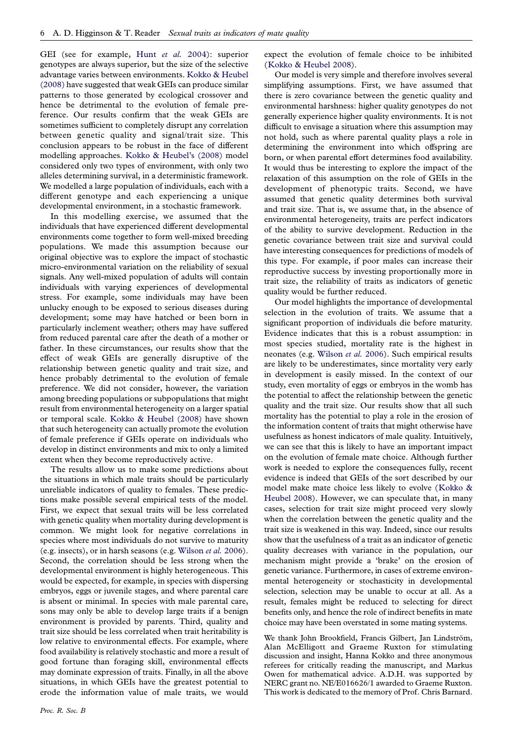GEI (see for example, Hunt [et al.](#page-6-0) 2004): superior genotypes are always superior, but the size of the selective advantage varies between environments. [Kokko & Heubel](#page-6-0) [\(2008\)](#page-6-0) have suggested that weak GEIs can produce similar patterns to those generated by ecological crossover and hence be detrimental to the evolution of female preference. Our results confirm that the weak GEIs are sometimes sufficient to completely disrupt any correlation between genetic quality and signal/trait size. This conclusion appears to be robust in the face of different modelling approaches. [Kokko & Heubel's \(2008\)](#page-6-0) model considered only two types of environment, with only two alleles determining survival, in a deterministic framework. We modelled a large population of individuals, each with a different genotype and each experiencing a unique developmental environment, in a stochastic framework.

In this modelling exercise, we assumed that the individuals that have experienced different developmental environments come together to form well-mixed breeding populations. We made this assumption because our original objective was to explore the impact of stochastic micro-environmental variation on the reliability of sexual signals. Any well-mixed population of adults will contain individuals with varying experiences of developmental stress. For example, some individuals may have been unlucky enough to be exposed to serious diseases during development; some may have hatched or been born in particularly inclement weather; others may have suffered from reduced parental care after the death of a mother or father. In these circumstances, our results show that the effect of weak GEIs are generally disruptive of the relationship between genetic quality and trait size, and hence probably detrimental to the evolution of female preference. We did not consider, however, the variation among breeding populations or subpopulations that might result from environmental heterogeneity on a larger spatial or temporal scale. [Kokko & Heubel \(2008\)](#page-6-0) have shown that such heterogeneity can actually promote the evolution of female preference if GEIs operate on individuals who develop in distinct environments and mix to only a limited extent when they become reproductively active.

The results allow us to make some predictions about the situations in which male traits should be particularly unreliable indicators of quality to females. These predictions make possible several empirical tests of the model. First, we expect that sexual traits will be less correlated with genetic quality when mortality during development is common. We might look for negative correlations in species where most individuals do not survive to maturity (e.g. insects), or in harsh seasons (e.g. [Wilson](#page-6-0) et al. 2006). Second, the correlation should be less strong when the developmental environment is highly heterogeneous. This would be expected, for example, in species with dispersing embryos, eggs or juvenile stages, and where parental care is absent or minimal. In species with male parental care, sons may only be able to develop large traits if a benign environment is provided by parents. Third, quality and trait size should be less correlated when trait heritability is low relative to environmental effects. For example, where food availability is relatively stochastic and more a result of good fortune than foraging skill, environmental effects may dominate expression of traits. Finally, in all the above situations, in which GEIs have the greatest potential to erode the information value of male traits, we would

expect the evolution of female choice to be inhibited ([Kokko & Heubel 2008](#page-6-0)).

Our model is very simple and therefore involves several simplifying assumptions. First, we have assumed that there is zero covariance between the genetic quality and environmental harshness: higher quality genotypes do not generally experience higher quality environments. It is not difficult to envisage a situation where this assumption may not hold, such as where parental quality plays a role in determining the environment into which offspring are born, or when parental effort determines food availability. It would thus be interesting to explore the impact of the relaxation of this assumption on the role of GEIs in the development of phenotypic traits. Second, we have assumed that genetic quality determines both survival and trait size. That is, we assume that, in the absence of environmental heterogeneity, traits are perfect indicators of the ability to survive development. Reduction in the genetic covariance between trait size and survival could have interesting consequences for predictions of models of this type. For example, if poor males can increase their reproductive success by investing proportionally more in trait size, the reliability of traits as indicators of genetic quality would be further reduced.

Our model highlights the importance of developmental selection in the evolution of traits. We assume that a significant proportion of individuals die before maturity. Evidence indicates that this is a robust assumption: in most species studied, mortality rate is the highest in neonates (e.g. [Wilson](#page-6-0) et al. 2006). Such empirical results are likely to be underestimates, since mortality very early in development is easily missed. In the context of our study, even mortality of eggs or embryos in the womb has the potential to affect the relationship between the genetic quality and the trait size. Our results show that all such mortality has the potential to play a role in the erosion of the information content of traits that might otherwise have usefulness as honest indicators of male quality. Intuitively, we can see that this is likely to have an important impact on the evolution of female mate choice. Although further work is needed to explore the consequences fully, recent evidence is indeed that GEIs of the sort described by our model make mate choice less likely to evolve ([Kokko &](#page-6-0) [Heubel 2008\)](#page-6-0). However, we can speculate that, in many cases, selection for trait size might proceed very slowly when the correlation between the genetic quality and the trait size is weakened in this way. Indeed, since our results show that the usefulness of a trait as an indicator of genetic quality decreases with variance in the population, our mechanism might provide a 'brake' on the erosion of genetic variance. Furthermore, in cases of extreme environmental heterogeneity or stochasticity in developmental selection, selection may be unable to occur at all. As a result, females might be reduced to selecting for direct benefits only, and hence the role of indirect benefits in mate choice may have been overstated in some mating systems.

We thank John Brookfield, Francis Gilbert, Jan Lindström, Alan McElligott and Graeme Ruxton for stimulating discussion and insight, Hanna Kokko and three anonymous referees for critically reading the manuscript, and Markus Owen for mathematical advice. A.D.H. was supported by NERC grant no. NE/E016626/1 awarded to Graeme Ruxton. This work is dedicated to the memory of Prof. Chris Barnard.